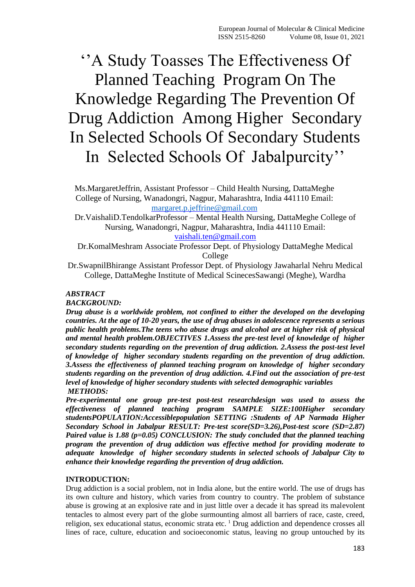# ''A Study Toasses The Effectiveness Of Planned Teaching Program On The Knowledge Regarding The Prevention Of Drug Addiction Among Higher Secondary In Selected Schools Of Secondary Students In Selected Schools Of Jabalpurcity''

Ms.MargaretJeffrin, Assistant Professor – Child Health Nursing, DattaMeghe College of Nursing, Wanadongri, Nagpur, Maharashtra, India 441110 Email: [margaret.p.jeffrine@gmail.com](mailto:margaret.p.jeffrine@gmail.com)

Dr.VaishaliD.TendolkarProfessor – Mental Health Nursing, DattaMeghe College of Nursing, Wanadongri, Nagpur, Maharashtra, India 441110 Email: [vaishali.ten@gmail.com](mailto:vaishali.ten@gmail.com)

Dr.KomalMeshram Associate Professor Dept. of Physiology DattaMeghe Medical College

Dr.SwapnilBhirange Assistant Professor Dept. of Physiology Jawaharlal Nehru Medical College, DattaMeghe Institute of Medical ScinecesSawangi (Meghe), Wardha

## *ABSTRACT*

*BACKGROUND:* 

*Drug abuse is a worldwide problem, not confined to either the developed on the developing countries. At the age of 10-20 years, the use of drug abuses in adolescence represents a serious public health problems.The teens who abuse drugs and alcohol are at higher risk of physical and mental health problem.OBJECTIVES 1.Assess the pre-test level of knowledge of higher secondary students regarding on the prevention of drug addiction. 2.Assess the post-test level of knowledge of higher secondary students regarding on the prevention of drug addiction. 3.Assess the effectiveness of planned teaching program on knowledge of higher secondary students regarding on the prevention of drug addiction. 4.Find out the association of pre-test level of knowledge of higher secondary students with selected demographic variables METHODS:*

*Pre-experimental one group pre-test post-test researchdesign was used to assess the effectiveness of planned teaching program SAMPLE SIZE:100Higher secondary studentsPOPULATION:Accessiblepopulation SETTING :Students of AP Narmada Higher Secondary School in Jabalpur RESULT: Pre-test score(SD=3.26),Post-test score (SD=2.87) Paired value is 1.88 (p=0.05) CONCLUSION: The study concluded that the planned teaching program the prevention of drug addiction was effective method for providing moderate to adequate knowledge of higher secondary students in selected schools of Jabalpur City to enhance their knowledge regarding the prevention of drug addiction.*

#### **INTRODUCTION:**

Drug addiction is a social problem, not in India alone, but the entire world. The use of drugs has its own culture and history, which varies from country to country. The problem of substance abuse is growing at an explosive rate and in just little over a decade it has spread its malevolent tentacles to almost every part of the globe surmounting almost all barriers of race, caste, creed, religion, sex educational status, economic strata etc. <sup>1</sup> Drug addiction and dependence crosses all lines of race, culture, education and socioeconomic status, leaving no group untouched by its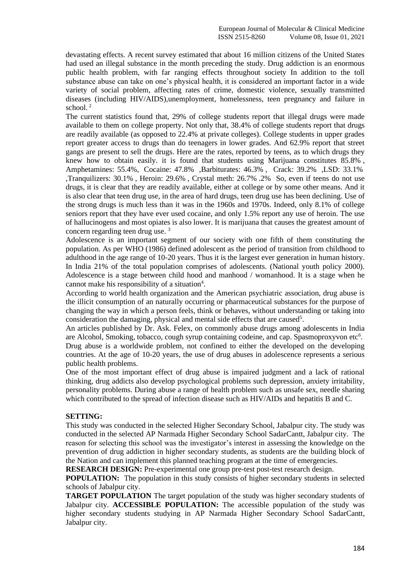devastating effects. A recent survey estimated that about 16 million citizens of the United States had used an illegal substance in the month preceding the study. Drug addiction is an enormous public health problem, with far ranging effects throughout society In addition to the toll substance abuse can take on one's physical health, it is considered an important factor in a wide variety of social problem, affecting rates of crime, domestic violence, sexually transmitted diseases (including HIV/AIDS),unemployment, homelessness, teen pregnancy and failure in school.<sup>2</sup>

The current statistics found that, 29% of college students report that illegal drugs were made available to them on college property. Not only that, 38.4% of college students report that drugs are readily available (as opposed to 22.4% at private colleges). College students in upper grades report greater access to drugs than do teenagers in lower grades. And 62.9% report that street gangs are present to sell the drugs. Here are the rates, reported by teens, as to which drugs they knew how to obtain easily. it is found that students using Marijuana constitutes 85.8% , Amphetamines: 55.4%, Cocaine: 47.8% ,Barbiturates: 46.3% , Crack: 39.2% ,LSD: 33.1% ,Tranquilizers: 30.1% , Heroin: 29.6% , Crystal meth: 26.7% .2% So, even if teens do not use drugs, it is clear that they are readily available, either at college or by some other means. And it is also clear that teen drug use, in the area of hard drugs, teen drug use has been declining. Use of the strong drugs is much less than it was in the 1960s and 1970s. Indeed, only 8.1% of college seniors report that they have ever used cocaine, and only 1.5% report any use of heroin. The use of hallucinogens and most opiates is also lower. It is marijuana that causes the greatest amount of concern regarding teen drug use. <sup>3</sup>

Adolescence is an important segment of our society with one fifth of them constituting the population. As per WHO (1986) defined adolescent as the period of transition from childhood to adulthood in the age range of 10-20 years. Thus it is the largest ever generation in human history. In India 21% of the total population comprises of adolescents. (National youth policy 2000). Adolescence is a stage between child hood and manhood / womanhood. It is a stage when he cannot make his responsibility of a situation $4$ .

According to world health organization and the American psychiatric association, drug abuse is the illicit consumption of an naturally occurring or pharmaceutical substances for the purpose of changing the way in which a person feels, think or behaves, without understanding or taking into consideration the damaging, physical and mental side effects that are caused<sup>5</sup>.

An articles published by Dr. Ask. Felex, on commonly abuse drugs among adolescents in India are Alcohol, Smoking, tobacco, cough syrup containing codeine, and cap. Spasmoproxyvon etc<sup>6</sup>.

Drug abuse is a worldwide problem, not confined to either the developed on the developing countries. At the age of 10-20 years, the use of drug abuses in adolescence represents a serious public health problems.

One of the most important effect of drug abuse is impaired judgment and a lack of rational thinking, drug addicts also develop psychological problems such depression, anxiety irritability, personality problems. During abuse a range of health problem such as unsafe sex, needle sharing which contributed to the spread of infection disease such as HIV/AIDs and hepatitis B and C.

#### **SETTING:**

This study was conducted in the selected Higher Secondary School, Jabalpur city. The study was conducted in the selected AP Narmada Higher Secondary School SadarCantt, Jabalpur city. The reason for selecting this school was the investigator's interest in assessing the knowledge on the prevention of drug addiction in higher secondary students, as students are the building block of the Nation and can implement this planned teaching program at the time of emergencies.

**RESEARCH DESIGN:** Pre-experimental one group pre-test post-test research design.

**POPULATION:** The population in this study consists of higher secondary students in selected schools of Jabalpur city.

**TARGET POPULATION** The target population of the study was higher secondary students of Jabalpur city. **ACCESSIBLE POPULATION:** The accessible population of the study was higher secondary students studying in AP Narmada Higher Secondary School SadarCantt, Jabalpur city.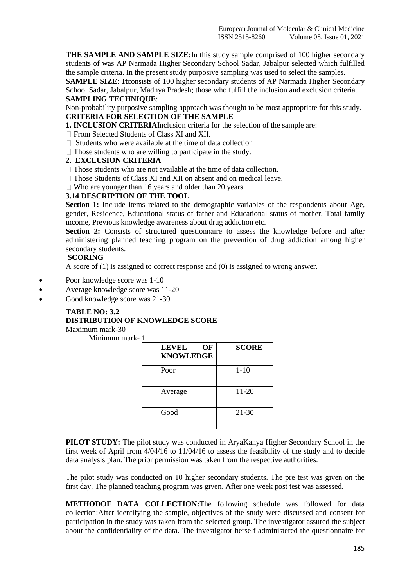**THE SAMPLE AND SAMPLE SIZE:**In this study sample comprised of 100 higher secondary students of was AP Narmada Higher Secondary School Sadar, Jabalpur selected which fulfilled the sample criteria. In the present study purposive sampling was used to select the samples.

**SAMPLE SIZE: It**consists of 100 higher secondary students of AP Narmada Higher Secondary School Sadar, Jabalpur, Madhya Pradesh; those who fulfill the inclusion and exclusion criteria. **SAMPLING TECHNIQUE**:

Non-probability purposive sampling approach was thought to be most appropriate for this study. **CRITERIA FOR SELECTION OF THE SAMPLE** 

**1. INCLUSION CRITERIA**Inclusion criteria for the selection of the sample are:

- □ From Selected Students of Class XI and XII.
- $\Box$  Students who were available at the time of data collection
- $\Box$  Those students who are willing to participate in the study.

#### **2. EXCLUSION CRITERIA**

- $\Box$  Those students who are not available at the time of data collection.
- $\Box$  Those Students of Class XI and XII on absent and on medical leave.
- $\Box$  Who are younger than 16 years and older than 20 years

# **3.14 DESCRIPTION OF THE TOOL**

**Section 1:** Include items related to the demographic variables of the respondents about Age, gender, Residence, Educational status of father and Educational status of mother, Total family income, Previous knowledge awareness about drug addiction etc.

Section 2: Consists of structured questionnaire to assess the knowledge before and after administering planned teaching program on the prevention of drug addiction among higher secondary students.

# **SCORING**

A score of (1) is assigned to correct response and (0) is assigned to wrong answer.

- Poor knowledge score was 1-10
- Average knowledge score was 11-20
- Good knowledge score was 21-30

# **TABLE NO: 3.2**

# **DISTRIBUTION OF KNOWLEDGE SCORE**

Maximum mark-30

Minimum mark- 1

| OF<br><b>LEVEL</b><br><b>KNOWLEDGE</b> | <b>SCORE</b> |
|----------------------------------------|--------------|
| Poor                                   | $1 - 10$     |
| Average                                | $11 - 20$    |
| Good                                   | 21-30        |

**PILOT STUDY:** The pilot study was conducted in AryaKanya Higher Secondary School in the first week of April from 4/04/16 to 11/04/16 to assess the feasibility of the study and to decide data analysis plan. The prior permission was taken from the respective authorities.

The pilot study was conducted on 10 higher secondary students. The pre test was given on the first day. The planned teaching program was given. After one week post test was assessed.

**METHODOF DATA COLLECTION:**The following schedule was followed for data collection:After identifying the sample, objectives of the study were discussed and consent for participation in the study was taken from the selected group. The investigator assured the subject about the confidentiality of the data. The investigator herself administered the questionnaire for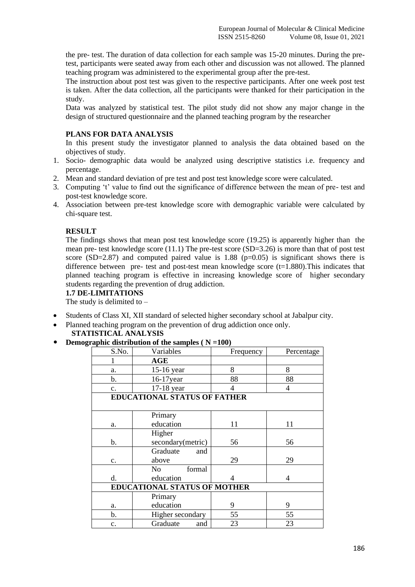the pre- test. The duration of data collection for each sample was 15-20 minutes. During the pretest, participants were seated away from each other and discussion was not allowed. The planned teaching program was administered to the experimental group after the pre-test.

The instruction about post test was given to the respective participants. After one week post test is taken. After the data collection, all the participants were thanked for their participation in the study.

Data was analyzed by statistical test. The pilot study did not show any major change in the design of structured questionnaire and the planned teaching program by the researcher

## **PLANS FOR DATA ANALYSIS**

In this present study the investigator planned to analysis the data obtained based on the objectives of study.

- 1. Socio- demographic data would be analyzed using descriptive statistics i.e. frequency and percentage.
- 2. Mean and standard deviation of pre test and post test knowledge score were calculated.
- 3. Computing 't' value to find out the significance of difference between the mean of pre- test and post-test knowledge score.
- 4. Association between pre-test knowledge score with demographic variable were calculated by chi-square test.

#### **RESULT**

The findings shows that mean post test knowledge score (19.25) is apparently higher than the mean pre- test knowledge score  $(11.1)$  The pre-test score  $(SD=3.26)$  is more than that of post test score (SD=2.87) and computed paired value is 1.88 ( $p=0.05$ ) is significant shows there is difference between pre- test and post-test mean knowledge score (t=1.880). This indicates that planned teaching program is effective in increasing knowledge score of higher secondary students regarding the prevention of drug addiction.

#### **1.7 DE-LIMITATIONS**

The study is delimited to –

- Students of Class XI, XII standard of selected higher secondary school at Jabalpur city.
- Planned teaching program on the prevention of drug addiction once only.

# **STATISTICAL ANALYSIS**

**Demographic distribution of the samples ( N =100)**

| S.No.                               | Variables                           | Frequency | Percentage |  |
|-------------------------------------|-------------------------------------|-----------|------------|--|
| 1                                   | AGE                                 |           |            |  |
| a.                                  | 15-16 year                          | 8         | 8          |  |
| b.                                  | 16-17year                           | 88        | 88         |  |
| c.                                  | 17-18 year                          | 4         | 4          |  |
|                                     | <b>EDUCATIONAL STATUS OF FATHER</b> |           |            |  |
|                                     |                                     |           |            |  |
|                                     | Primary                             |           |            |  |
| a.                                  | education                           | 11        | 11         |  |
|                                     | Higher                              |           |            |  |
| b.                                  | secondary(metric)                   | 56        | 56         |  |
|                                     | Graduate<br>and                     |           |            |  |
| c.                                  | above                               | 29        | 29         |  |
|                                     | formal<br>No.                       |           |            |  |
| d.                                  | education                           | 4         | 4          |  |
| <b>EDUCATIONAL STATUS OF MOTHER</b> |                                     |           |            |  |
|                                     | Primary                             |           |            |  |
| a.                                  | education                           | 9         | 9          |  |
| b.                                  | Higher secondary                    | 55        | 55         |  |
| c.                                  | Graduate<br>and                     | 23        | 23         |  |
|                                     |                                     |           |            |  |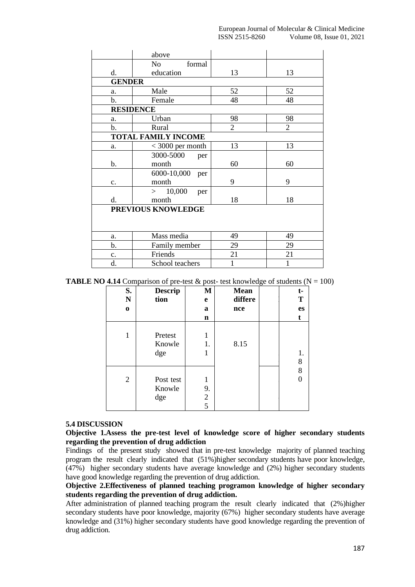|               | above                      |                |                |
|---------------|----------------------------|----------------|----------------|
|               | No<br>formal               |                |                |
| d.            | education                  | 13             | 13             |
| <b>GENDER</b> |                            |                |                |
| a.            | Male                       | 52             | 52             |
| $\mathbf b$ . | Female                     | 48             | 48             |
|               | <b>RESIDENCE</b>           |                |                |
| a.            | Urban                      | 98             | 98             |
| b.            | Rural                      | $\overline{2}$ | $\overline{2}$ |
|               | <b>TOTAL FAMILY INCOME</b> |                |                |
| a.            | $<$ 3000 per month         | 13             | 13             |
|               | 3000-5000<br>per           |                |                |
| b.            | month                      | 60             | 60             |
|               | 6000-10,000<br>per         |                |                |
| c.            | month                      | 9              | 9              |
|               | > 10,000<br>per            |                |                |
| d.            | month                      | 18             | 18             |
|               | PREVIOUS KNOWLEDGE         |                |                |
|               |                            |                |                |
|               |                            |                |                |
| a.            | Mass media                 | 49             | 49             |
| b.            | Family member              | 29             | 29             |
| c.            | Friends                    | 21             | 21             |
| d.            | School teachers            | 1              | 1              |

**TABLE NO 4.14** Comparison of pre-test  $\&$  post- test knowledge of students (N = 100)

| S.<br>N<br>$\bf{0}$ | <b>Descrip</b><br>tion     | M<br>e<br>a<br>n             | <b>Mean</b><br>differe<br>nce | t-<br>T<br>es |
|---------------------|----------------------------|------------------------------|-------------------------------|---------------|
| 1                   | Pretest<br>Knowle<br>dge   | 1<br>1.<br>1                 | 8.15                          | 1.<br>8       |
| $\overline{2}$      | Post test<br>Knowle<br>dge | 1<br>9.<br>$\mathbf{2}$<br>5 |                               | 8             |

#### **5.4 DISCUSSION**

**Objective 1.Assess the pre-test level of knowledge score of higher secondary students regarding the prevention of drug addiction**

Findings of the present study showed that in pre-test knowledge majority of planned teaching program the result clearly indicated that (51%)higher secondary students have poor knowledge, (47%) higher secondary students have average knowledge and (2%) higher secondary students have good knowledge regarding the prevention of drug addiction.

**Objective 2.Effectiveness of planned teaching programon knowledge of higher secondary students regarding the prevention of drug addiction.**

After administration of planned teaching program the result clearly indicated that (2%)higher secondary students have poor knowledge, majority (67%) higher secondary students have average knowledge and (31%) higher secondary students have good knowledge regarding the prevention of drug addiction.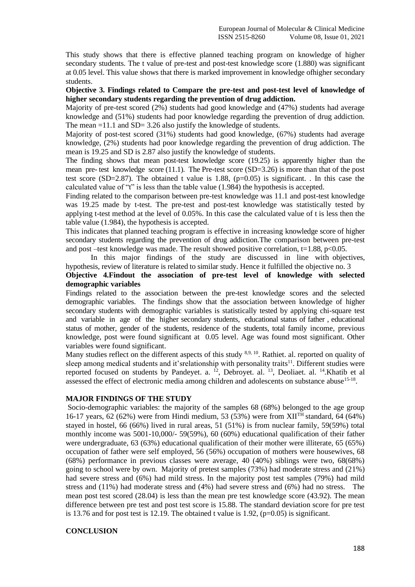This study shows that there is effective planned teaching program on knowledge of higher secondary students. The t value of pre-test and post-test knowledge score (1.880) was significant at 0.05 level. This value shows that there is marked improvement in knowledge ofhigher secondary students.

#### **Objective 3. Findings related to Compare the pre-test and post-test level of knowledge of higher secondary students regarding the prevention of drug addiction.**

Majority of pre-test scored (2%) students had good knowledge and (47%) students had average knowledge and (51%) students had poor knowledge regarding the prevention of drug addiction. The mean =11.1 and SD= 3.26 also justify the knowledge of students.

Majority of post-test scored (31%) students had good knowledge, (67%) students had average knowledge, (2%) students had poor knowledge regarding the prevention of drug addiction. The mean is 19.25 and SD is 2.87 also justify the knowledge of students.

The finding shows that mean post-test knowledge score (19.25) is apparently higher than the mean pre- test knowledge score  $(11.1)$ . The Pre-test score  $(SD=3.26)$  is more than that of the post test score (SD=2.87). The obtained t value is 1.88,  $(p=0.05)$  is significant. . In this case the calculated value of "t" is less than the table value (1.984) the hypothesis is accepted.

Finding related to the comparison between pre-test knowledge was 11.1 and post-test knowledge was 19.25 made by t-test. The pre-test and post-test knowledge was statistically tested by applying t-test method at the level of 0.05%. In this case the calculated value of t is less then the table value (1.984), the hypothesis is accepted.

This indicates that planned teaching program is effective in increasing knowledge score of higher secondary students regarding the prevention of drug addiction.The comparison between pre-test and post –test knowledge was made. The result showed positive correlation,  $t=1.88$ ,  $p<0.05$ .

In this major findings of the study are discussed in line with objectives, hypothesis, review of literature is related to similar study. Hence it fulfilled the objective no. 3

# **Objective 4.Findout the association of pre-test level of knowledge with selected demographic variables**

Findings related to the association between the pre-test knowledge scores and the selected demographic variables. The findings show that the association between knowledge of higher secondary students with demographic variables is statistically tested by applying chi-square test and variable in age of the higher secondary students, educational status of father , educational status of mother, gender of the students, residence of the students, total family income, previous knowledge, post were found significant at 0.05 level. Age was found most significant. Other variables were found significant.

Many studies reflect on the different aspects of this study 8,9, 10. Rathiet. al. reported on quality of sleep among medical students and it'srelationship with personality traits<sup>11</sup>. Different studies were reported focused on students by Pandeyet. a. <sup>12</sup>, Debroyet. al. <sup>13</sup>, Deoliaet. al. <sup>14</sup>. Khatib et al assessed the effect of electronic media among children and adolescents on substance abuse<sup>15-18</sup>.

#### **MAJOR FINDINGS OF THE STUDY**

Socio-demographic variables: the majority of the samples 68 (68%) belonged to the age group 16-17 years, 62 (62%) were from Hindi medium, 53 (53%) were from  $XII<sup>TH</sup>$  standard, 64 (64%) stayed in hostel, 66 (66%) lived in rural areas, 51 (51%) is from nuclear family, 59(59%) total monthly income was 5001-10,000/- 59(59%), 60 (60%) educational qualification of their father were undergraduate, 63 (63%) educational qualification of their mother were illiterate, 65 (65%) occupation of father were self employed, 56 (56%) occupation of mothers were housewives, 68 (68%) performance in previous classes were average, 40 (40%) siblings were two, 68(68%) going to school were by own. Majority of pretest samples (73%) had moderate stress and (21%) had severe stress and (6%) had mild stress. In the majority post test samples (79%) had mild stress and (11%) had moderate stress and (4%) had severe stress and (6%) had no stress. The mean post test scored (28.04) is less than the mean pre test knowledge score (43.92). The mean difference between pre test and post test score is 15.88. The standard deviation score for pre test is 13.76 and for post test is 12.19. The obtained t value is 1.92,  $(p=0.05)$  is significant.

# **CONCLUSION**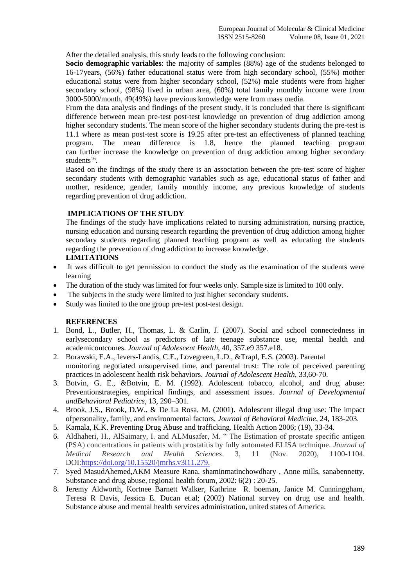After the detailed analysis, this study leads to the following conclusion:

**Socio demographic variables**: the majority of samples (88%) age of the students belonged to 16-17years, (56%) father educational status were from high secondary school, (55%) mother educational status were from higher secondary school, (52%) male students were from higher secondary school, (98%) lived in urban area, (60%) total family monthly income were from 3000-5000/month, 49(49%) have previous knowledge were from mass media.

From the data analysis and findings of the present study, it is concluded that there is significant difference between mean pre-test post-test knowledge on prevention of drug addiction among higher secondary students. The mean score of the higher secondary students during the pre-test is 11.1 where as mean post-test score is 19.25 after pre-test an effectiveness of planned teaching program. The mean difference is 1.8, hence the planned teaching program can further increase the knowledge on prevention of drug addiction among higher secondary students<sup>16</sup>.

Based on the findings of the study there is an association between the pre-test score of higher secondary students with demographic variables such as age, educational status of father and mother, residence, gender, family monthly income, any previous knowledge of students regarding prevention of drug addiction.

#### **IMPLICATIONS OF THE STUDY**

The findings of the study have implications related to nursing administration, nursing practice, nursing education and nursing research regarding the prevention of drug addiction among higher secondary students regarding planned teaching program as well as educating the students regarding the prevention of drug addiction to increase knowledge.

# **LIMITATIONS**

- It was difficult to get permission to conduct the study as the examination of the students were learning
- The duration of the study was limited for four weeks only. Sample size is limited to 100 only.
- The subjects in the study were limited to just higher secondary students.
- Study was limited to the one group pre-test post-test design.

#### **REFERENCES**

- 1. Bond, L., Butler, H., Thomas, L. & Carlin, J. (2007). Social and school connectedness in earlysecondary school as predictors of late teenage substance use, mental health and academicoutcomes. *Journal of Adolescent Health*, 40, 357.e9 357.e18.
- 2. Borawski, E.A., Ievers-Landis, C.E., Lovegreen, L.D., &Trapl, E.S. (2003). Parental monitoring negotiated unsupervised time, and parental trust: The role of perceived parenting practices in adolescent health risk behaviors. *Journal of Adolescent Health*, 33,60-70.
- 3. Botvin, G. E., &Botvin, E. M. (1992). Adolescent tobacco, alcohol, and drug abuse: Preventionstrategies, empirical findings, and assessment issues. *Journal of Developmental andBehavioral Pediatrics*, 13, 290–301.
- 4. Brook, J.S., Brook, D.W., & De La Rosa, M. (2001). Adolescent illegal drug use: The impact ofpersonality, family, and environmental factors, *Journal of Behavioral Medicine*, 24, 183-203.
- 5. Kamala, K.K. Preventing Drug Abuse and trafficking. Health Action 2006; (19), 33-34.
- 6. Aldhaheri, H., AlSaimary, I. and ALMusafer, M. " The Estimation of prostate specific antigen (PSA) concentrations in patients with prostatitis by fully automated ELISA technique. *Journal of Medical Research and Health Sciences*. 3, 11 (Nov. 2020), 1100-1104. DOI[:https://doi.org/10.15520/jmrhs.v3i11.279.](https://doi.org/10.15520/jmrhs.v3i11.279.)
- 7. Syed MasudAhemed,AKM Measure Rana, shaminmatinchowdhary , Anne mills, sanabennetty. Substance and drug abuse, regional health forum, 2002: 6(2) : 20-25.
- 8. Jeremy Aldworth, Kortnee Barnett Walker, Kathrine R. boeman, Janice M. Cunninggham, Teresa R Davis, Jessica E. Ducan et.al; (2002) National survey on drug use and health. Substance abuse and mental health services administration, united states of America.